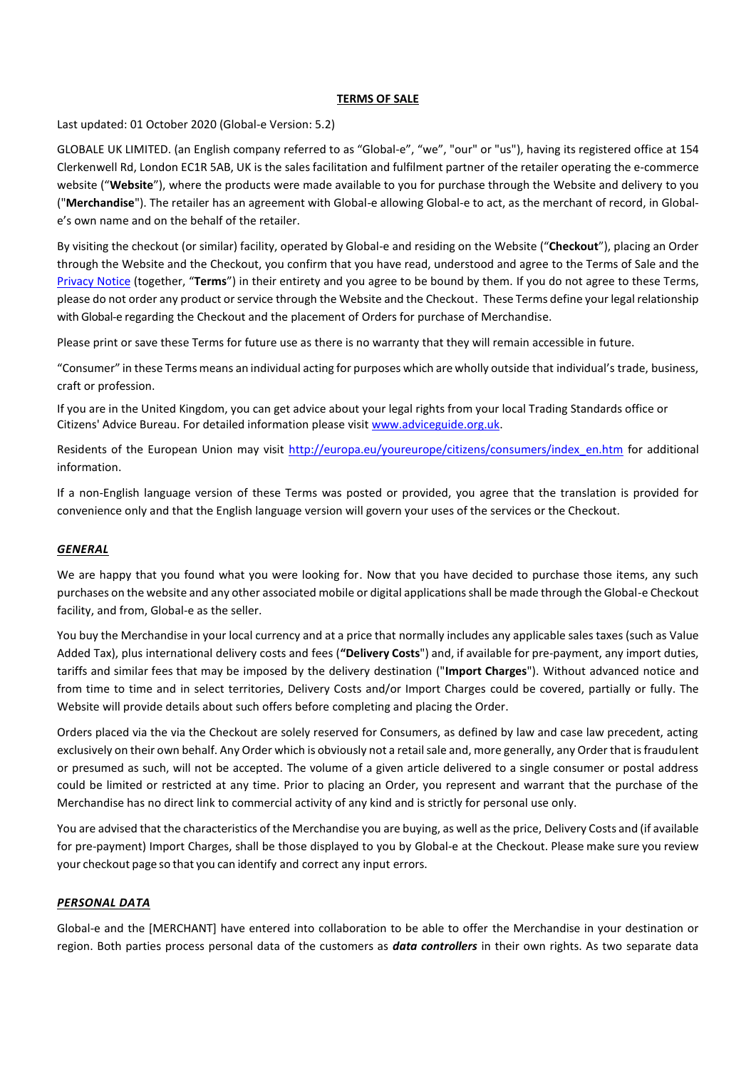### **TERMS OF SALE**

Last updated: 01 October 2020 (Global-e Version: 5.2)

GLOBALE UK LIMITED. (an English company referred to as "Global-e", "we", "our" or "us"), having its registered office at 154 Clerkenwell Rd, London EC1R 5AB, UK is the sales facilitation and fulfilment partner of the retailer operating the e-commerce website ("**Website**"), where the products were made available to you for purchase through the Website and delivery to you ("**Merchandise**"). The retailer has an agreement with Global-e allowing Global-e to act, as the merchant of record, in Globale's own name and on the behalf of the retailer.

By visiting the checkout (or similar) facility, operated by Global-e and residing on the Website ("**Checkout**"), placing an Order through the Website and the Checkout, you confirm that you have read, understood and agree to the Terms of Sale and the Privacy Notice (together, "**Terms**") in their entirety and you agree to be bound by them. If you do not agree to these Terms, please do not order any product or service through the Website and the Checkout. These Terms define your legal relationship with Global-e regarding the Checkout and the placement of Orders for purchase of Merchandise.

Please print or save these Terms for future use as there is no warranty that they will remain accessible in future.

"Consumer" in these Terms means an individual acting for purposes which are wholly outside that individual's trade, business, craft or profession.

If you are in the United Kingdom, you can get advice about your legal rights from your local Trading Standards office or Citizens' Advice Bureau. For detailed information please visit www.adviceguide.org.uk.

Residents of the European Union may visit http://europa.eu/youreurope/citizens/consumers/index\_en.htm for additional information.

If a non-English language version of these Terms was posted or provided, you agree that the translation is provided for convenience only and that the English language version will govern your uses of the services or the Checkout.

### *GENERAL*

We are happy that you found what you were looking for. Now that you have decided to purchase those items, any such purchases on the website and any other associated mobile or digital applications shall be made through the Global-e Checkout facility, and from, Global-e as the seller.

You buy the Merchandise in your local currency and at a price that normally includes any applicable sales taxes (such as Value Added Tax), plus international delivery costs and fees (**"Delivery Costs**") and, if available for pre-payment, any import duties, tariffs and similar fees that may be imposed by the delivery destination ("**Import Charges**"). Without advanced notice and from time to time and in select territories, Delivery Costs and/or Import Charges could be covered, partially or fully. The Website will provide details about such offers before completing and placing the Order.

Orders placed via the via the Checkout are solely reserved for Consumers, as defined by law and case law precedent, acting exclusively on their own behalf. Any Order which is obviously not a retail sale and, more generally, any Order that is fraudulent or presumed as such, will not be accepted. The volume of a given article delivered to a single consumer or postal address could be limited or restricted at any time. Prior to placing an Order, you represent and warrant that the purchase of the Merchandise has no direct link to commercial activity of any kind and is strictly for personal use only.

You are advised that the characteristics of the Merchandise you are buying, as well as the price, Delivery Costs and (if available for pre-payment) Import Charges, shall be those displayed to you by Global-e at the Checkout. Please make sure you review your checkout page so that you can identify and correct any input errors.

### *PERSONAL DATA*

Global-e and the [MERCHANT] have entered into collaboration to be able to offer the Merchandise in your destination or region. Both parties process personal data of the customers as *data controllers* in their own rights. As two separate data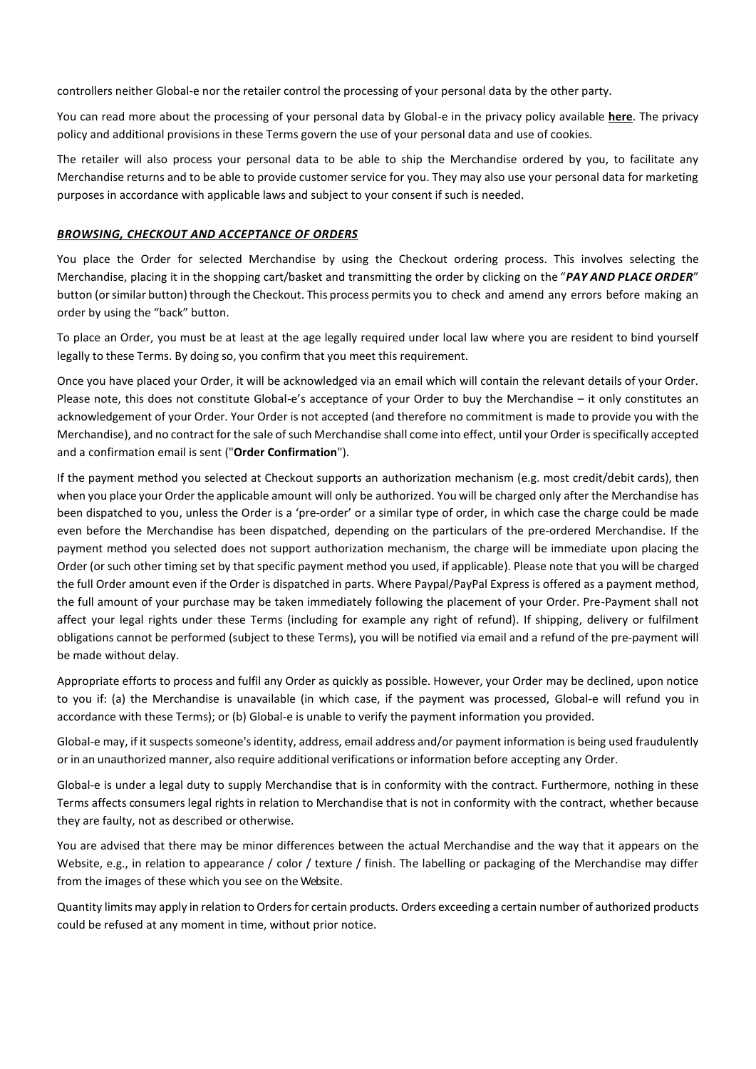controllers neither Global-e nor the retailer control the processing of your personal data by the other party.

You can read more about the processing of your personal data by Global-e in the privacy policy available **here**. The privacy policy and additional provisions in these Terms govern the use of your personal data and use of cookies.

The retailer will also process your personal data to be able to ship the Merchandise ordered by you, to facilitate any Merchandise returns and to be able to provide customer service for you. They may also use your personal data for marketing purposes in accordance with applicable laws and subject to your consent if such is needed.

#### *BROWSING, CHECKOUT AND ACCEPTANCE OF ORDERS*

You place the Order for selected Merchandise by using the Checkout ordering process. This involves selecting the Merchandise, placing it in the shopping cart/basket and transmitting the order by clicking on the "*PAY AND PLACE ORDER*" button (orsimilar button) through the Checkout. This process permits you to check and amend any errors before making an order by using the "back" button.

To place an Order, you must be at least at the age legally required under local law where you are resident to bind yourself legally to these Terms. By doing so, you confirm that you meet this requirement.

Once you have placed your Order, it will be acknowledged via an email which will contain the relevant details of your Order. Please note, this does not constitute Global-e's acceptance of your Order to buy the Merchandise – it only constitutes an acknowledgement of your Order. Your Order is not accepted (and therefore no commitment is made to provide you with the Merchandise), and no contract for the sale of such Merchandise shall come into effect, until your Order is specifically accepted and a confirmation email is sent ("**Order Confirmation**").

If the payment method you selected at Checkout supports an authorization mechanism (e.g. most credit/debit cards), then when you place your Order the applicable amount will only be authorized. You will be charged only after the Merchandise has been dispatched to you, unless the Order is a 'pre-order' or a similar type of order, in which case the charge could be made even before the Merchandise has been dispatched, depending on the particulars of the pre-ordered Merchandise. If the payment method you selected does not support authorization mechanism, the charge will be immediate upon placing the Order (or such other timing set by that specific payment method you used, if applicable). Please note that you will be charged the full Order amount even if the Order is dispatched in parts. Where Paypal/PayPal Express is offered as a payment method, the full amount of your purchase may be taken immediately following the placement of your Order. Pre-Payment shall not affect your legal rights under these Terms (including for example any right of refund). If shipping, delivery or fulfilment obligations cannot be performed (subject to these Terms), you will be notified via email and a refund of the pre-payment will be made without delay.

Appropriate efforts to process and fulfil any Order as quickly as possible. However, your Order may be declined, upon notice to you if: (a) the Merchandise is unavailable (in which case, if the payment was processed, Global-e will refund you in accordance with these Terms); or (b) Global-e is unable to verify the payment information you provided.

Global-e may, if it suspects someone's identity, address, email address and/or payment information is being used fraudulently or in an unauthorized manner, also require additional verifications or information before accepting any Order.

Global-e is under a legal duty to supply Merchandise that is in conformity with the contract. Furthermore, nothing in these Terms affects consumers legal rights in relation to Merchandise that is not in conformity with the contract, whether because they are faulty, not as described or otherwise.

You are advised that there may be minor differences between the actual Merchandise and the way that it appears on the Website, e.g., in relation to appearance / color / texture / finish. The labelling or packaging of the Merchandise may differ from the images of these which you see on the Website.

Quantity limits may apply in relation to Orders for certain products. Orders exceeding a certain number of authorized products could be refused at any moment in time, without prior notice.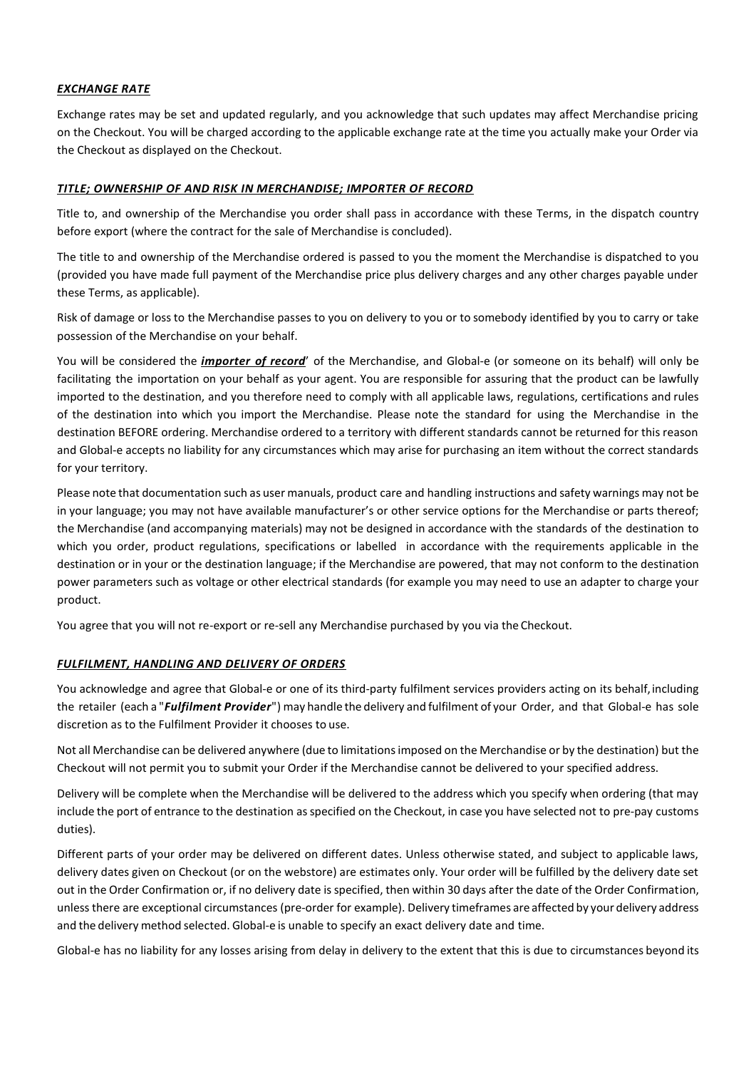## *EXCHANGE RATE*

Exchange rates may be set and updated regularly, and you acknowledge that such updates may affect Merchandise pricing on the Checkout. You will be charged according to the applicable exchange rate at the time you actually make your Order via the Checkout as displayed on the Checkout.

## *TITLE; OWNERSHIP OF AND RISK IN MERCHANDISE; IMPORTER OF RECORD*

Title to, and ownership of the Merchandise you order shall pass in accordance with these Terms, in the dispatch country before export (where the contract for the sale of Merchandise is concluded).

The title to and ownership of the Merchandise ordered is passed to you the moment the Merchandise is dispatched to you (provided you have made full payment of the Merchandise price plus delivery charges and any other charges payable under these Terms, as applicable).

Risk of damage or loss to the Merchandise passes to you on delivery to you or to somebody identified by you to carry or take possession of the Merchandise on your behalf.

You will be considered the *importer of record*' of the Merchandise, and Global-e (or someone on its behalf) will only be facilitating the importation on your behalf as your agent. You are responsible for assuring that the product can be lawfully imported to the destination, and you therefore need to comply with all applicable laws, regulations, certifications and rules of the destination into which you import the Merchandise. Please note the standard for using the Merchandise in the destination BEFORE ordering. Merchandise ordered to a territory with different standards cannot be returned for this reason and Global-e accepts no liability for any circumstances which may arise for purchasing an item without the correct standards for your territory.

Please note that documentation such as user manuals, product care and handling instructions and safety warnings may not be in your language; you may not have available manufacturer's or other service options for the Merchandise or parts thereof; the Merchandise (and accompanying materials) may not be designed in accordance with the standards of the destination to which you order, product regulations, specifications or labelled in accordance with the requirements applicable in the destination or in your or the destination language; if the Merchandise are powered, that may not conform to the destination power parameters such as voltage or other electrical standards (for example you may need to use an adapter to charge your product.

You agree that you will not re-export or re-sell any Merchandise purchased by you via the Checkout.

# *FULFILMENT, HANDLING AND DELIVERY OF ORDERS*

You acknowledge and agree that Global-e or one of its third-party fulfilment services providers acting on its behalf, including the retailer (each a "*Fulfilment Provider*") may handle the delivery and fulfilment of your Order, and that Global-e has sole discretion as to the Fulfilment Provider it chooses to use.

Not all Merchandise can be delivered anywhere (due to limitationsimposed on the Merchandise or by the destination) but the Checkout will not permit you to submit your Order if the Merchandise cannot be delivered to your specified address.

Delivery will be complete when the Merchandise will be delivered to the address which you specify when ordering (that may include the port of entrance to the destination as specified on the Checkout, in case you have selected not to pre-pay customs duties).

Different parts of your order may be delivered on different dates. Unless otherwise stated, and subject to applicable laws, delivery dates given on Checkout (or on the webstore) are estimates only. Your order will be fulfilled by the delivery date set out in the Order Confirmation or, if no delivery date is specified, then within 30 days after the date of the Order Confirmation, unless there are exceptional circumstances (pre-order for example). Delivery timeframes are affected by your delivery address and the delivery method selected. Global-e is unable to specify an exact delivery date and time.

Global-e has no liability for any losses arising from delay in delivery to the extent that this is due to circumstances beyond its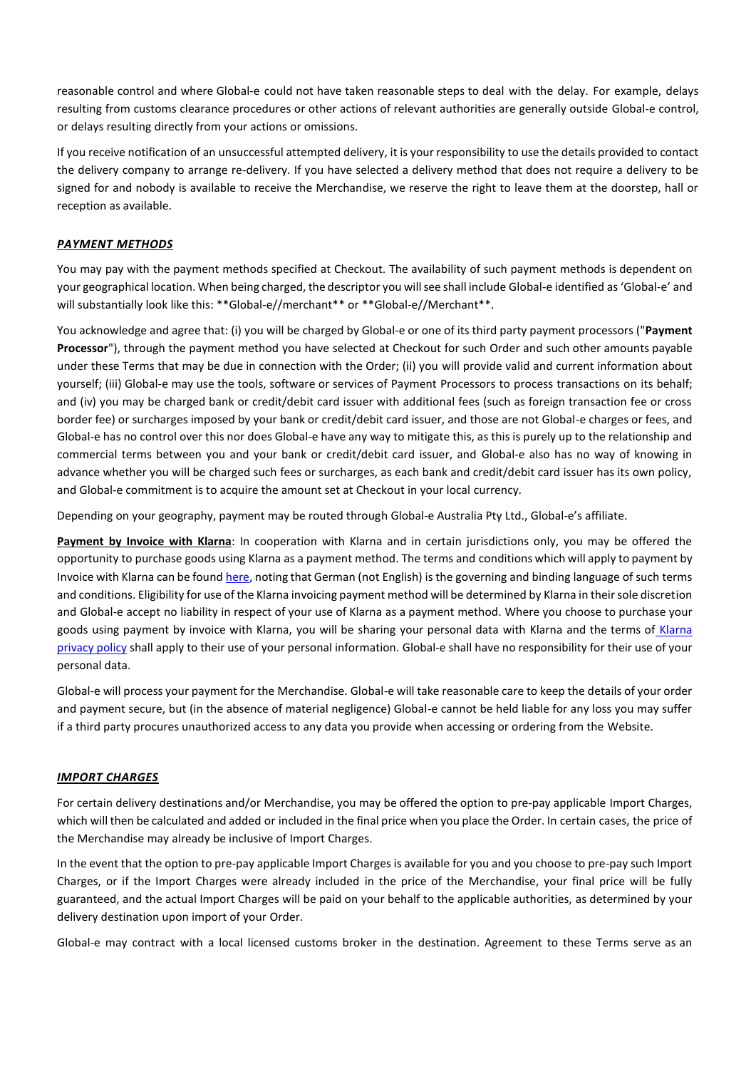reasonable control and where Global-e could not have taken reasonable steps to deal with the delay. For example, delays resulting from customs clearance procedures or other actions of relevant authorities are generally outside Global-e control, or delays resulting directly from your actions or omissions.

If you receive notification of an unsuccessful attempted delivery, it is your responsibility to use the details provided to contact the delivery company to arrange re-delivery. If you have selected a delivery method that does not require a delivery to be signed for and nobody is available to receive the Merchandise, we reserve the right to leave them at the doorstep, hall or reception as available.

### *PAYMENT METHODS*

You may pay with the payment methods specified at Checkout. The availability of such payment methods is dependent on your geographical location. When being charged, the descriptor you willsee shall include Global-e identified as 'Global-e' and will substantially look like this: \*\*Global-e//merchant\*\* or \*\*Global-e//Merchant\*\*.

You acknowledge and agree that: (i) you will be charged by Global-e or one of its third party payment processors ("**Payment Processor**"), through the payment method you have selected at Checkout for such Order and such other amounts payable under these Terms that may be due in connection with the Order; (ii) you will provide valid and current information about yourself; (iii) Global-e may use the tools, software or services of Payment Processors to process transactions on its behalf; and (iv) you may be charged bank or credit/debit card issuer with additional fees (such as foreign transaction fee or cross border fee) or surcharges imposed by your bank or credit/debit card issuer, and those are not Global-e charges or fees, and Global-e has no control over this nor does Global-e have any way to mitigate this, as this is purely up to the relationship and commercial terms between you and your bank or credit/debit card issuer, and Global-e also has no way of knowing in advance whether you will be charged such fees or surcharges, as each bank and credit/debit card issuer has its own policy, and Global-e commitment is to acquire the amount set at Checkout in your local currency.

Depending on your geography, payment may be routed through Global-e Australia Pty Ltd., Global-e's affiliate.

**Payment by Invoice with Klarna**: In cooperation with Klarna and in certain jurisdictions only, you may be offered the opportunity to purchase goods using Klarna as a payment method. The terms and conditions which will apply to payment by Invoice with Klarna can be found here, noting that German (not English) is the governing and binding language of such terms and conditions. Eligibility for use of the Klarna invoicing payment method will be determined by Klarna in their sole discretion and Global-e accept no liability in respect of your use of Klarna as a payment method. Where you choose to purchase your goods using payment by invoice with Klarna, you will be sharing your personal data with Klarna and the terms of Klarna privacy policy shall apply to their use of your personal information. Global-e shall have no responsibility for their use of your personal data.

Global-e will process your payment for the Merchandise. Global-e will take reasonable care to keep the details of your order and payment secure, but (in the absence of material negligence) Global-e cannot be held liable for any loss you may suffer if a third party procures unauthorized access to any data you provide when accessing or ordering from the Website.

### *IMPORT CHARGES*

For certain delivery destinations and/or Merchandise, you may be offered the option to pre-pay applicable Import Charges, which will then be calculated and added or included in the final price when you place the Order. In certain cases, the price of the Merchandise may already be inclusive of Import Charges.

In the event that the option to pre-pay applicable Import Charges is available for you and you choose to pre-pay such Import Charges, or if the Import Charges were already included in the price of the Merchandise, your final price will be fully guaranteed, and the actual Import Charges will be paid on your behalf to the applicable authorities, as determined by your delivery destination upon import of your Order.

Global-e may contract with a local licensed customs broker in the destination. Agreement to these Terms serve as an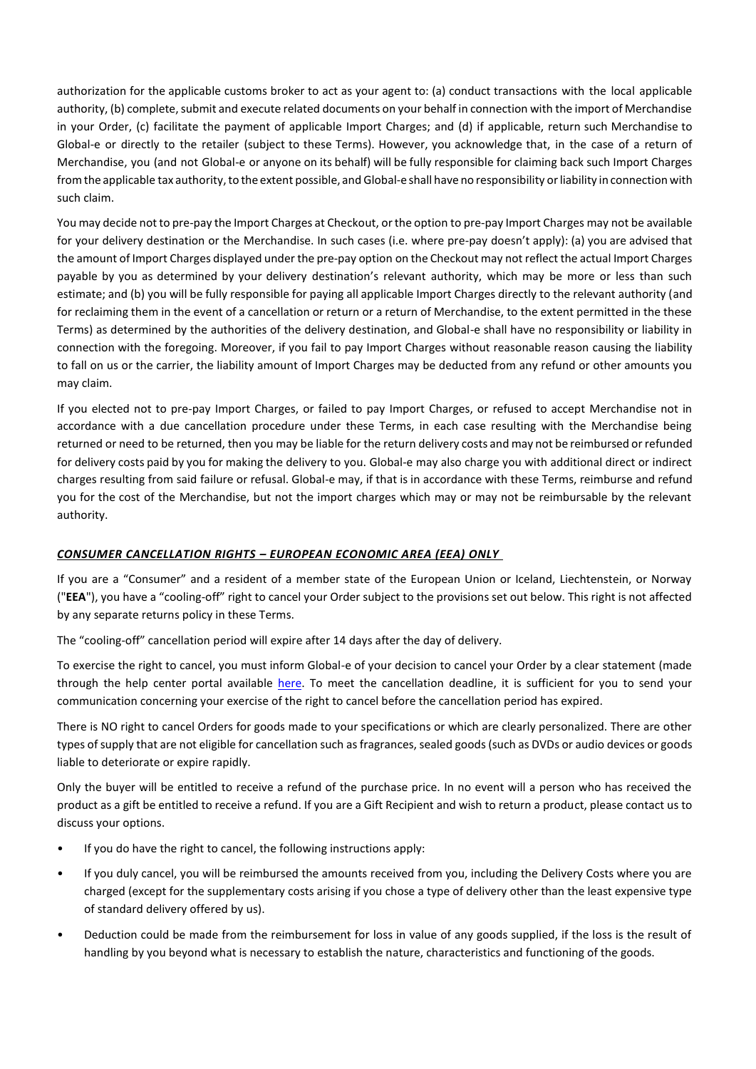authorization for the applicable customs broker to act as your agent to: (a) conduct transactions with the local applicable authority, (b) complete, submit and execute related documents on your behalf in connection with the import of Merchandise in your Order, (c) facilitate the payment of applicable Import Charges; and (d) if applicable, return such Merchandise to Global-e or directly to the retailer (subject to these Terms). However, you acknowledge that, in the case of a return of Merchandise, you (and not Global-e or anyone on its behalf) will be fully responsible for claiming back such Import Charges from the applicable tax authority, to the extent possible, and Global-e shall have no responsibility or liability in connection with such claim.

You may decide not to pre-pay the Import Charges at Checkout, orthe option to pre-pay Import Charges may not be available for your delivery destination or the Merchandise. In such cases (i.e. where pre-pay doesn't apply): (a) you are advised that the amount of Import Charges displayed under the pre-pay option on the Checkout may not reflect the actual Import Charges payable by you as determined by your delivery destination's relevant authority, which may be more or less than such estimate; and (b) you will be fully responsible for paying all applicable Import Charges directly to the relevant authority (and for reclaiming them in the event of a cancellation or return or a return of Merchandise, to the extent permitted in the these Terms) as determined by the authorities of the delivery destination, and Global-e shall have no responsibility or liability in connection with the foregoing. Moreover, if you fail to pay Import Charges without reasonable reason causing the liability to fall on us or the carrier, the liability amount of Import Charges may be deducted from any refund or other amounts you may claim.

If you elected not to pre-pay Import Charges, or failed to pay Import Charges, or refused to accept Merchandise not in accordance with a due cancellation procedure under these Terms, in each case resulting with the Merchandise being returned or need to be returned, then you may be liable for the return delivery costs and may not be reimbursed orrefunded for delivery costs paid by you for making the delivery to you. Global-e may also charge you with additional direct or indirect charges resulting from said failure or refusal. Global-e may, if that is in accordance with these Terms, reimburse and refund you for the cost of the Merchandise, but not the import charges which may or may not be reimbursable by the relevant authority.

# *CONSUMER CANCELLATION RIGHTS – EUROPEAN ECONOMIC AREA (EEA) ONLY*

If you are a "Consumer" and a resident of a member state of the European Union or Iceland, Liechtenstein, or Norway ("**EEA**"), you have a "cooling-off" right to cancel your Order subject to the provisions set out below. This right is not affected by any separate returns policy in these Terms.

The "cooling-off" cancellation period will expire after 14 days after the day of delivery.

To exercise the right to cancel, you must inform Global-e of your decision to cancel your Order by a clear statement (made through the help center portal available here. To meet the cancellation deadline, it is sufficient for you to send your communication concerning your exercise of the right to cancel before the cancellation period has expired.

There is NO right to cancel Orders for goods made to your specifications or which are clearly personalized. There are other types of supply that are not eligible for cancellation such as fragrances, sealed goods (such as DVDs or audio devices or goods liable to deteriorate or expire rapidly.

Only the buyer will be entitled to receive a refund of the purchase price. In no event will a person who has received the product as a gift be entitled to receive a refund. If you are a Gift Recipient and wish to return a product, please contact us to discuss your options.

- If you do have the right to cancel, the following instructions apply:
- If you duly cancel, you will be reimbursed the amounts received from you, including the Delivery Costs where you are charged (except for the supplementary costs arising if you chose a type of delivery other than the least expensive type of standard delivery offered by us).
- Deduction could be made from the reimbursement for loss in value of any goods supplied, if the loss is the result of handling by you beyond what is necessary to establish the nature, characteristics and functioning of the goods.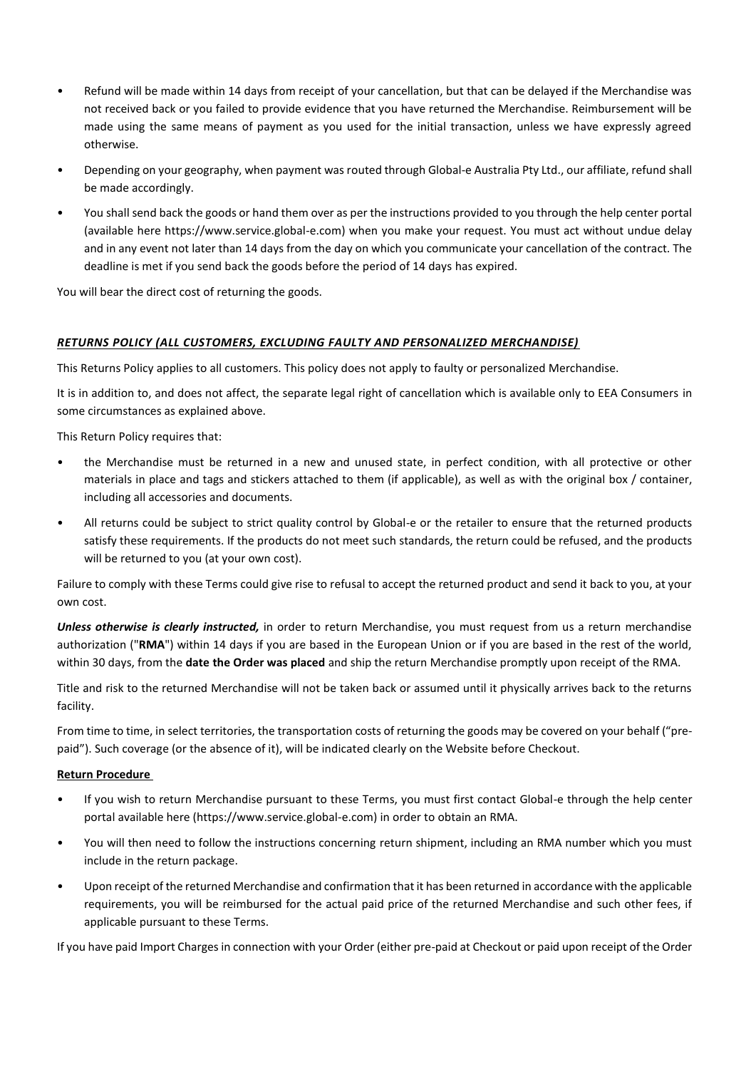- Refund will be made within 14 days from receipt of your cancellation, but that can be delayed if the Merchandise was not received back or you failed to provide evidence that you have returned the Merchandise. Reimbursement will be made using the same means of payment as you used for the initial transaction, unless we have expressly agreed otherwise.
- Depending on your geography, when payment was routed through Global-e Australia Pty Ltd., our affiliate, refund shall be made accordingly.
- You shall send back the goods or hand them over as per the instructions provided to you through the help center portal (available here https://www.service.global-e.com) when you make your request. You must act without undue delay and in any event not later than 14 days from the day on which you communicate your cancellation of the contract. The deadline is met if you send back the goods before the period of 14 days has expired.

You will bear the direct cost of returning the goods.

## *RETURNS POLICY (ALL CUSTOMERS, EXCLUDING FAULTY AND PERSONALIZED MERCHANDISE)*

This Returns Policy applies to all customers. This policy does not apply to faulty or personalized Merchandise.

It is in addition to, and does not affect, the separate legal right of cancellation which is available only to EEA Consumers in some circumstances as explained above.

This Return Policy requires that:

- the Merchandise must be returned in a new and unused state, in perfect condition, with all protective or other materials in place and tags and stickers attached to them (if applicable), as well as with the original box / container, including all accessories and documents.
- All returns could be subject to strict quality control by Global-e or the retailer to ensure that the returned products satisfy these requirements. If the products do not meet such standards, the return could be refused, and the products will be returned to you (at your own cost).

Failure to comply with these Terms could give rise to refusal to accept the returned product and send it back to you, at your own cost.

*Unless otherwise is clearly instructed,* in order to return Merchandise, you must request from us a return merchandise authorization ("**RMA**") within 14 days if you are based in the European Union or if you are based in the rest of the world, within 30 days, from the **date the Order was placed** and ship the return Merchandise promptly upon receipt of the RMA.

Title and risk to the returned Merchandise will not be taken back or assumed until it physically arrives back to the returns facility.

From time to time, in select territories, the transportation costs of returning the goods may be covered on your behalf ("prepaid"). Such coverage (or the absence of it), will be indicated clearly on the Website before Checkout.

### **Return Procedure**

- If you wish to return Merchandise pursuant to these Terms, you must first contact Global-e through the help center portal available here (https://www.service.global-e.com) in order to obtain an RMA.
- You will then need to follow the instructions concerning return shipment, including an RMA number which you must include in the return package.
- Upon receipt of the returned Merchandise and confirmation that it has been returned in accordance with the applicable requirements, you will be reimbursed for the actual paid price of the returned Merchandise and such other fees, if applicable pursuant to these Terms.

If you have paid Import Charges in connection with your Order (either pre-paid at Checkout or paid upon receipt of the Order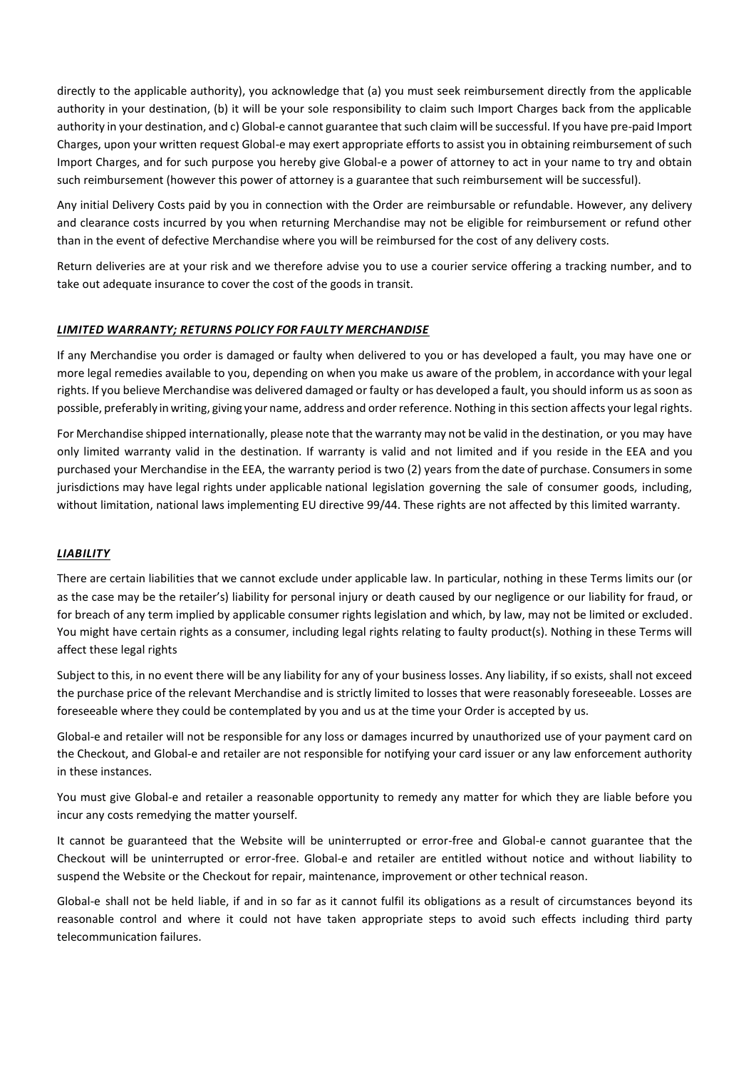directly to the applicable authority), you acknowledge that (a) you must seek reimbursement directly from the applicable authority in your destination, (b) it will be your sole responsibility to claim such Import Charges back from the applicable authority in your destination, and c) Global-e cannot guarantee that such claim will be successful. If you have pre-paid Import Charges, upon your written request Global-e may exert appropriate efforts to assist you in obtaining reimbursement of such Import Charges, and for such purpose you hereby give Global-e a power of attorney to act in your name to try and obtain such reimbursement (however this power of attorney is a guarantee that such reimbursement will be successful).

Any initial Delivery Costs paid by you in connection with the Order are reimbursable or refundable. However, any delivery and clearance costs incurred by you when returning Merchandise may not be eligible for reimbursement or refund other than in the event of defective Merchandise where you will be reimbursed for the cost of any delivery costs.

Return deliveries are at your risk and we therefore advise you to use a courier service offering a tracking number, and to take out adequate insurance to cover the cost of the goods in transit.

### *LIMITED WARRANTY; RETURNS POLICY FOR FAULTY MERCHANDISE*

If any Merchandise you order is damaged or faulty when delivered to you or has developed a fault, you may have one or more legal remedies available to you, depending on when you make us aware of the problem, in accordance with your legal rights. If you believe Merchandise was delivered damaged or faulty or has developed a fault, you should inform us assoon as possible, preferably in writing, giving your name, address and order reference. Nothing in this section affects your legal rights.

For Merchandise shipped internationally, please note that the warranty may not be valid in the destination, or you may have only limited warranty valid in the destination. If warranty is valid and not limited and if you reside in the EEA and you purchased your Merchandise in the EEA, the warranty period is two (2) years from the date of purchase. Consumersin some jurisdictions may have legal rights under applicable national legislation governing the sale of consumer goods, including, without limitation, national laws implementing EU directive 99/44. These rights are not affected by this limited warranty.

### *LIABILITY*

There are certain liabilities that we cannot exclude under applicable law. In particular, nothing in these Terms limits our (or as the case may be the retailer's) liability for personal injury or death caused by our negligence or our liability for fraud, or for breach of any term implied by applicable consumer rights legislation and which, by law, may not be limited or excluded. You might have certain rights as a consumer, including legal rights relating to faulty product(s). Nothing in these Terms will affect these legal rights

Subject to this, in no event there will be any liability for any of your business losses. Any liability, if so exists, shall not exceed the purchase price of the relevant Merchandise and is strictly limited to losses that were reasonably foreseeable. Losses are foreseeable where they could be contemplated by you and us at the time your Order is accepted by us.

Global-e and retailer will not be responsible for any loss or damages incurred by unauthorized use of your payment card on the Checkout, and Global-e and retailer are not responsible for notifying your card issuer or any law enforcement authority in these instances.

You must give Global-e and retailer a reasonable opportunity to remedy any matter for which they are liable before you incur any costs remedying the matter yourself.

It cannot be guaranteed that the Website will be uninterrupted or error-free and Global-e cannot guarantee that the Checkout will be uninterrupted or error-free. Global-e and retailer are entitled without notice and without liability to suspend the Website or the Checkout for repair, maintenance, improvement or other technical reason.

Global-e shall not be held liable, if and in so far as it cannot fulfil its obligations as a result of circumstances beyond its reasonable control and where it could not have taken appropriate steps to avoid such effects including third party telecommunication failures.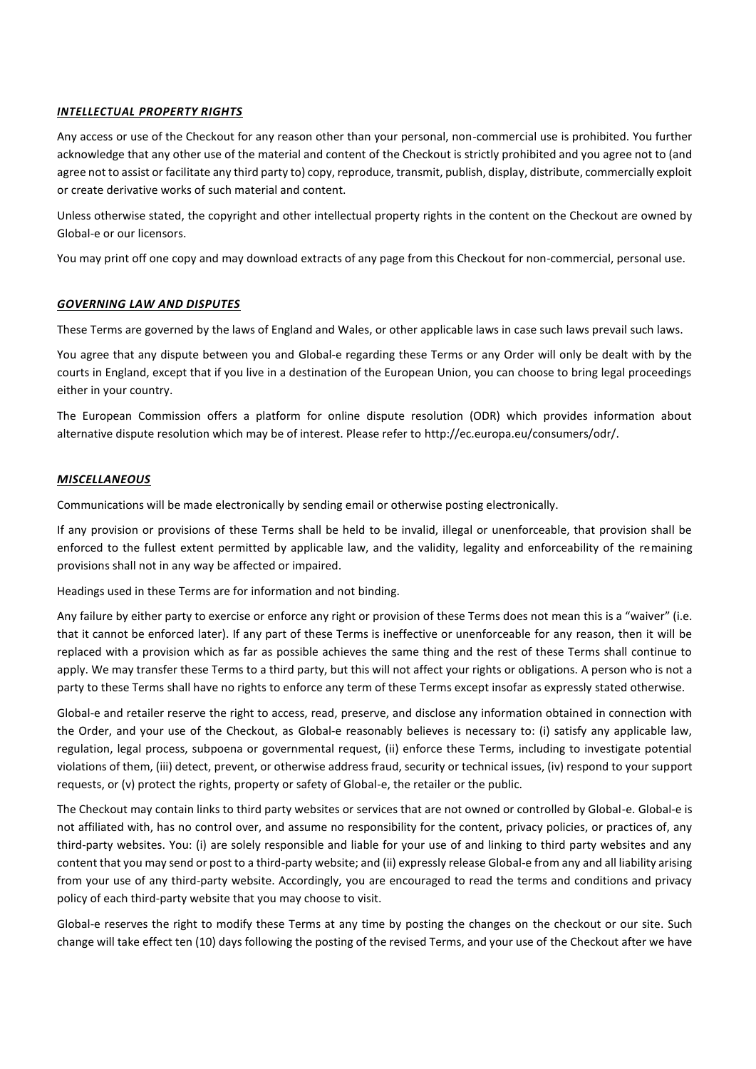### *INTELLECTUAL PROPERTY RIGHTS*

Any access or use of the Checkout for any reason other than your personal, non-commercial use is prohibited. You further acknowledge that any other use of the material and content of the Checkout is strictly prohibited and you agree not to (and agree not to assist or facilitate any third party to) copy, reproduce, transmit, publish, display, distribute, commercially exploit or create derivative works of such material and content.

Unless otherwise stated, the copyright and other intellectual property rights in the content on the Checkout are owned by Global-e or our licensors.

You may print off one copy and may download extracts of any page from this Checkout for non-commercial, personal use.

## *GOVERNING LAW AND DISPUTES*

These Terms are governed by the laws of England and Wales, or other applicable laws in case such laws prevail such laws.

You agree that any dispute between you and Global-e regarding these Terms or any Order will only be dealt with by the courts in England, except that if you live in a destination of the European Union, you can choose to bring legal proceedings either in your country.

The European Commission offers a platform for online dispute resolution (ODR) which provides information about alternative dispute resolution which may be of interest. Please refer to http://ec.europa.eu/consumers/odr/.

## *MISCELLANEOUS*

Communications will be made electronically by sending email or otherwise posting electronically.

If any provision or provisions of these Terms shall be held to be invalid, illegal or unenforceable, that provision shall be enforced to the fullest extent permitted by applicable law, and the validity, legality and enforceability of the remaining provisions shall not in any way be affected or impaired.

Headings used in these Terms are for information and not binding.

Any failure by either party to exercise or enforce any right or provision of these Terms does not mean this is a "waiver" (i.e. that it cannot be enforced later). If any part of these Terms is ineffective or unenforceable for any reason, then it will be replaced with a provision which as far as possible achieves the same thing and the rest of these Terms shall continue to apply. We may transfer these Terms to a third party, but this will not affect your rights or obligations. A person who is not a party to these Terms shall have no rights to enforce any term of these Terms except insofar as expressly stated otherwise.

Global-e and retailer reserve the right to access, read, preserve, and disclose any information obtained in connection with the Order, and your use of the Checkout, as Global-e reasonably believes is necessary to: (i) satisfy any applicable law, regulation, legal process, subpoena or governmental request, (ii) enforce these Terms, including to investigate potential violations of them, (iii) detect, prevent, or otherwise address fraud, security or technical issues, (iv) respond to your support requests, or (v) protect the rights, property or safety of Global-e, the retailer or the public.

The Checkout may contain links to third party websites or services that are not owned or controlled by Global-e. Global-e is not affiliated with, has no control over, and assume no responsibility for the content, privacy policies, or practices of, any third-party websites. You: (i) are solely responsible and liable for your use of and linking to third party websites and any content that you may send or post to a third-party website; and (ii) expressly release Global-e from any and all liability arising from your use of any third-party website. Accordingly, you are encouraged to read the terms and conditions and privacy policy of each third-party website that you may choose to visit.

Global-e reserves the right to modify these Terms at any time by posting the changes on the checkout or our site. Such change will take effect ten (10) days following the posting of the revised Terms, and your use of the Checkout after we have